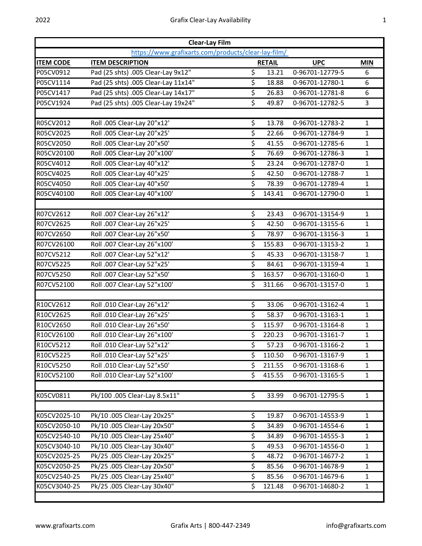| <b>Clear-Lay Film</b>                               |                                     |                          |               |                 |              |  |  |  |
|-----------------------------------------------------|-------------------------------------|--------------------------|---------------|-----------------|--------------|--|--|--|
| https://www.grafixarts.com/products/clear-lay-film/ |                                     |                          |               |                 |              |  |  |  |
| <b>ITEM CODE</b>                                    | <b>ITEM DESCRIPTION</b>             |                          | <b>RETAIL</b> | <b>UPC</b>      | <b>MIN</b>   |  |  |  |
| P05CV0912                                           | Pad (25 shts) .005 Clear-Lay 9x12"  | $\overline{\xi}$         | 13.21         | 0-96701-12779-5 | 6            |  |  |  |
| P05CV1114                                           | Pad (25 shts) .005 Clear-Lay 11x14" | \$                       | 18.88         | 0-96701-12780-1 | 6            |  |  |  |
| P05CV1417                                           | Pad (25 shts) .005 Clear-Lay 14x17" | $\overline{\mathcal{S}}$ | 26.83         | 0-96701-12781-8 | 6            |  |  |  |
| P05CV1924                                           | Pad (25 shts) .005 Clear-Lay 19x24" | \$                       | 49.87         | 0-96701-12782-5 | 3            |  |  |  |
|                                                     |                                     |                          |               |                 |              |  |  |  |
| R05CV2012                                           | Roll .005 Clear-Lay 20"x12'         | \$                       | 13.78         | 0-96701-12783-2 | $\mathbf{1}$ |  |  |  |
| R05CV2025                                           | Roll .005 Clear-Lay 20"x25'         | $\overline{\mathcal{S}}$ | 22.66         | 0-96701-12784-9 | $\mathbf{1}$ |  |  |  |
| R05CV2050                                           | Roll .005 Clear-Lay 20"x50'         | $\overline{\mathcal{S}}$ | 41.55         | 0-96701-12785-6 | $\mathbf{1}$ |  |  |  |
| R05CV20100                                          | Roll .005 Clear-Lay 20"x100'        | $\overline{\mathcal{S}}$ | 76.69         | 0-96701-12786-3 | $\mathbf{1}$ |  |  |  |
| R05CV4012                                           | Roll .005 Clear-Lay 40"x12'         | \$                       | 23.24         | 0-96701-12787-0 | $\mathbf{1}$ |  |  |  |
| R05CV4025                                           | Roll .005 Clear-Lay 40"x25'         | \$                       | 42.50         | 0-96701-12788-7 | $\mathbf{1}$ |  |  |  |
| R05CV4050                                           | Roll .005 Clear-Lay 40"x50'         | \$                       | 78.39         | 0-96701-12789-4 | $\mathbf{1}$ |  |  |  |
| R05CV40100                                          | Roll .005 Clear-Lay 40"x100'        | \$                       | 143.41        | 0-96701-12790-0 | $\mathbf{1}$ |  |  |  |
|                                                     |                                     |                          |               |                 |              |  |  |  |
| R07CV2612                                           | Roll .007 Clear-Lay 26"x12'         | \$                       | 23.43         | 0-96701-13154-9 | $\mathbf{1}$ |  |  |  |
| R07CV2625                                           | Roll .007 Clear-Lay 26"x25'         | \$                       | 42.50         | 0-96701-13155-6 | $\mathbf{1}$ |  |  |  |
| R07CV2650                                           | Roll .007 Clear-Lay 26"x50'         | \$                       | 78.97         | 0-96701-13156-3 | $\mathbf{1}$ |  |  |  |
| R07CV26100                                          | Roll .007 Clear-Lay 26"x100'        | \$                       | 155.83        | 0-96701-13153-2 | $\mathbf{1}$ |  |  |  |
| R07CV5212                                           | Roll .007 Clear-Lay 52"x12'         | \$                       | 45.33         | 0-96701-13158-7 | $\mathbf{1}$ |  |  |  |
| R07CV5225                                           | Roll .007 Clear-Lay 52"x25'         | \$                       | 84.61         | 0-96701-13159-4 | $\mathbf{1}$ |  |  |  |
| R07CV5250                                           | Roll .007 Clear-Lay 52"x50'         | \$                       | 163.57        | 0-96701-13160-0 | $\mathbf{1}$ |  |  |  |
| R07CV52100                                          | Roll .007 Clear-Lay 52"x100'        | \$                       | 311.66        | 0-96701-13157-0 | $\mathbf{1}$ |  |  |  |
|                                                     |                                     |                          |               |                 |              |  |  |  |
| R10CV2612                                           | Roll .010 Clear-Lay 26"x12'         | \$                       | 33.06         | 0-96701-13162-4 | $\mathbf{1}$ |  |  |  |
| R10CV2625                                           | Roll .010 Clear-Lay 26"x25'         | \$                       | 58.37         | 0-96701-13163-1 | $\mathbf{1}$ |  |  |  |
| R10CV2650                                           | Roll .010 Clear-Lay 26"x50'         | \$                       | 115.97        | 0-96701-13164-8 | $\mathbf{1}$ |  |  |  |
| R10CV26100                                          | Roll .010 Clear-Lay 26"x100'        | \$                       | 220.23        | 0-96701-13161-7 | $\mathbf{1}$ |  |  |  |
| R10CV5212                                           | Roll .010 Clear-Lay 52"x12'         | \$                       | 57.23         | 0-96701-13166-2 | $\mathbf{1}$ |  |  |  |
| R10CV5225                                           | Roll .010 Clear-Lay 52"x25'         | \$                       | 110.50        | 0-96701-13167-9 | 1            |  |  |  |
| R10CV5250                                           | Roll .010 Clear-Lay 52"x50'         | \$                       | 211.55        | 0-96701-13168-6 | $\mathbf{1}$ |  |  |  |
| R10CV52100                                          | Roll .010 Clear-Lay 52"x100'        | \$                       | 415.55        | 0-96701-13165-5 | $\mathbf{1}$ |  |  |  |
|                                                     |                                     |                          |               |                 |              |  |  |  |
| K05CV0811                                           | Pk/100 .005 Clear-Lay 8.5x11"       | \$                       | 33.99         | 0-96701-12795-5 | $\mathbf{1}$ |  |  |  |
| K05CV2025-10                                        | Pk/10 .005 Clear-Lay 20x25"         | \$                       | 19.87         | 0-96701-14553-9 | $\mathbf{1}$ |  |  |  |
| K05CV2050-10                                        | Pk/10 .005 Clear-Lay 20x50"         | \$                       | 34.89         | 0-96701-14554-6 | $\mathbf{1}$ |  |  |  |
| K05CV2540-10                                        | Pk/10 .005 Clear-Lay 25x40"         | \$                       | 34.89         | 0-96701-14555-3 | $\mathbf{1}$ |  |  |  |
| K05CV3040-10                                        | Pk/10 .005 Clear-Lay 30x40"         | \$                       | 49.53         | 0-96701-14556-0 | 1            |  |  |  |
| K05CV2025-25                                        | Pk/25 .005 Clear-Lay 20x25"         | \$                       | 48.72         | 0-96701-14677-2 | $\mathbf{1}$ |  |  |  |
| K05CV2050-25                                        | Pk/25 .005 Clear-Lay 20x50"         | \$                       | 85.56         | 0-96701-14678-9 | $\mathbf{1}$ |  |  |  |
| K05CV2540-25                                        | Pk/25 .005 Clear-Lay 25x40"         | \$                       | 85.56         | 0-96701-14679-6 | $\mathbf{1}$ |  |  |  |
| K05CV3040-25                                        | Pk/25 .005 Clear-Lay 30x40"         | \$                       | 121.48        | 0-96701-14680-2 | $\mathbf{1}$ |  |  |  |
|                                                     |                                     |                          |               |                 |              |  |  |  |